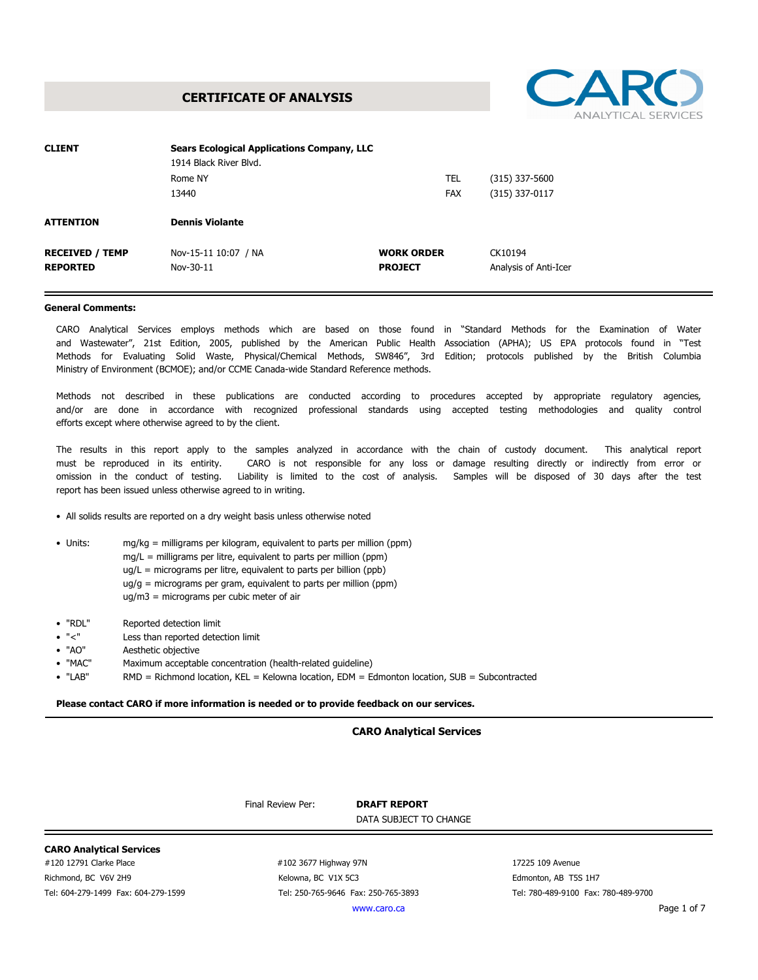### **CERTIFICATE OF ANALYSIS**



| <b>CLIENT</b>          | <b>Sears Ecological Applications Company, LLC</b><br>1914 Black River Blvd. |                   |                       |  |  |  |  |  |
|------------------------|-----------------------------------------------------------------------------|-------------------|-----------------------|--|--|--|--|--|
|                        | Rome NY                                                                     | TEL               | (315) 337-5600        |  |  |  |  |  |
|                        | 13440                                                                       | <b>FAX</b>        | (315) 337-0117        |  |  |  |  |  |
| <b>ATTENTION</b>       | <b>Dennis Violante</b>                                                      |                   |                       |  |  |  |  |  |
| <b>RECEIVED / TEMP</b> | Nov-15-11 10:07 / NA                                                        | <b>WORK ORDER</b> | CK10194               |  |  |  |  |  |
| <b>REPORTED</b>        | Nov-30-11                                                                   | <b>PROJECT</b>    | Analysis of Anti-Icer |  |  |  |  |  |
|                        |                                                                             |                   |                       |  |  |  |  |  |

#### **General Comments:**

CARO Analytical Services employs methods which are based on those found in "Standard Methods for the Examination of Water and Wastewater", 21st Edition, 2005, published by the American Public Health Association (APHA); US EPA protocols found in "Test Methods for Evaluating Solid Waste, Physical/Chemical Methods, SW846", 3rd Edition; protocols published by the British Columbia Ministry of Environment (BCMOE); and/or CCME Canada-wide Standard Reference methods.

Methods not described in these publications are conducted according to procedures accepted by appropriate regulatory agencies, and/or are done in accordance with recognized professional standards using accepted testing methodologies and quality control efforts except where otherwise agreed to by the client.

The results in this report apply to the samples analyzed in accordance with the chain of custody document. This analytical report must be reproduced in its entirity. CARO is not responsible for any loss or damage resulting directly or indirectly from error or omission in the conduct of testing. Liability is limited to the cost of analysis. Samples will be disposed of 30 days after the test report has been issued unless otherwise agreed to in writing.

• All solids results are reported on a dry weight basis unless otherwise noted

- Units: mg/kg = milligrams per kilogram, equivalent to parts per million (ppm) mg/L = milligrams per litre, equivalent to parts per million (ppm) ug/L = micrograms per litre, equivalent to parts per billion (ppb) ug/g = micrograms per gram, equivalent to parts per million (ppm) ug/m3 = micrograms per cubic meter of air
- "RDL" Reported detection limit
- "<" Less than reported detection limit
- "AO" Aesthetic objective
- "MAC" Maximum acceptable concentration (health-related guideline)

• "LAB" RMD = Richmond location, KEL = Kelowna location, EDM = Edmonton location, SUB = Subcontracted

**Please contact CARO if more information is needed or to provide feedback on our services.**

#### **CARO Analytical Services**

Final Review Per: **DRAFT REPORT**

DATA SUBJECT TO CHANGE

### **CARO Analytical Services**

#120 12791 Clarke Place Richmond, BC V6V 2H9 Tel: 604-279-1499 Fax: 604-279-1599 #102 3677 Highway 97N 17225 109 Avenue Kelowna, BC V1X 5C3 Edmonton, AB T5S 1H7 Tel: 250-765-9646 Fax: 250-765-3893 Tel: 780-489-9100 Fax: 780-489-9700

[www.caro.ca](http://www.caro.ca)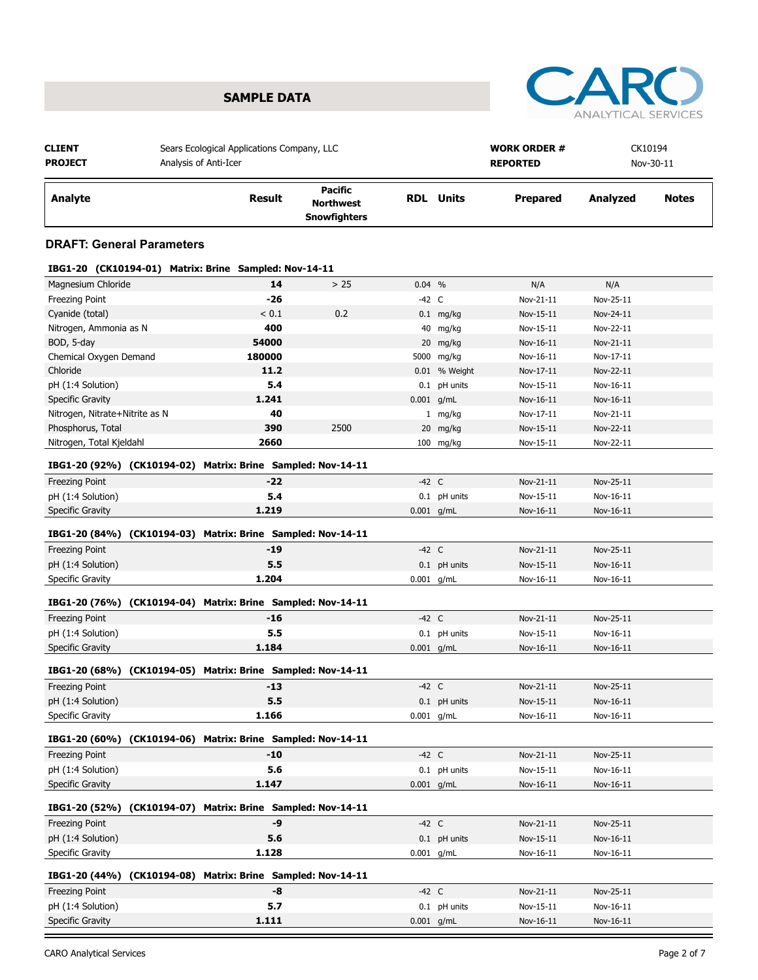



| <b>CLIENT</b><br><b>PROJECT</b>       | Sears Ecological Applications Company, LLC<br>Analysis of Anti-Icer |                                                           |         |                              | <b>WORK ORDER #</b><br><b>REPORTED</b> | CK10194<br>Nov-30-11   |              |  |
|---------------------------------------|---------------------------------------------------------------------|-----------------------------------------------------------|---------|------------------------------|----------------------------------------|------------------------|--------------|--|
| Analyte                               | Result                                                              | <b>Pacific</b><br><b>Northwest</b><br><b>Snowfighters</b> |         | <b>RDL</b> Units             | <b>Prepared</b>                        | <b>Analyzed</b>        | <b>Notes</b> |  |
| <b>DRAFT: General Parameters</b>      |                                                                     |                                                           |         |                              |                                        |                        |              |  |
|                                       | IBG1-20 (CK10194-01) Matrix: Brine Sampled: Nov-14-11               |                                                           |         |                              |                                        |                        |              |  |
| Magnesium Chloride                    | 14                                                                  | $>25$                                                     | 0.04 %  |                              | N/A                                    | N/A                    |              |  |
| <b>Freezing Point</b>                 | $-26$                                                               |                                                           | $-42$ C |                              | Nov-21-11                              | Nov-25-11              |              |  |
| Cyanide (total)                       | < 0.1                                                               | 0.2                                                       |         | $0.1$ mg/kg                  | Nov-15-11                              | Nov-24-11              |              |  |
| Nitrogen, Ammonia as N                | 400                                                                 |                                                           |         | 40 mg/kg                     | Nov-15-11                              | Nov-22-11              |              |  |
| BOD, 5-day                            | 54000                                                               |                                                           |         | 20 mg/kg                     | Nov-16-11                              | Nov-21-11              |              |  |
| Chemical Oxygen Demand                | 180000                                                              |                                                           |         | 5000 mg/kg                   | Nov-16-11                              | Nov-17-11              |              |  |
| Chloride                              | 11.2                                                                |                                                           |         | 0.01 % Weight                | Nov-17-11                              | Nov-22-11              |              |  |
| pH (1:4 Solution)                     | 5.4                                                                 |                                                           |         | 0.1 pH units                 | Nov-15-11                              | Nov-16-11              |              |  |
| <b>Specific Gravity</b>               | 1.241                                                               |                                                           |         | $0.001$ g/mL                 | Nov-16-11                              | Nov-16-11              |              |  |
| Nitrogen, Nitrate+Nitrite as N        | 40                                                                  |                                                           |         | 1 mg/kg                      | Nov-17-11                              | Nov-21-11              |              |  |
| Phosphorus, Total                     | 390                                                                 | 2500                                                      |         | 20 mg/kg                     | Nov-15-11                              | Nov-22-11              |              |  |
| Nitrogen, Total Kjeldahl              | 2660                                                                |                                                           |         | 100 mg/kg                    | Nov-15-11                              | Nov-22-11              |              |  |
|                                       | IBG1-20 (92%) (CK10194-02) Matrix: Brine Sampled: Nov-14-11         |                                                           |         |                              |                                        |                        |              |  |
| Freezing Point                        | $-22$                                                               |                                                           | $-42$ C |                              | Nov-21-11                              | Nov-25-11              |              |  |
| pH (1:4 Solution)                     | 5.4                                                                 |                                                           |         | 0.1 pH units                 | Nov-15-11                              | Nov-16-11              |              |  |
| Specific Gravity                      | 1.219                                                               |                                                           |         | $0.001$ g/mL                 | Nov-16-11                              | Nov-16-11              |              |  |
|                                       | IBG1-20 (84%) (CK10194-03) Matrix: Brine Sampled: Nov-14-11         |                                                           |         |                              |                                        |                        |              |  |
|                                       | $-19$                                                               |                                                           | $-42$ C |                              |                                        |                        |              |  |
| <b>Freezing Point</b>                 | 5.5                                                                 |                                                           |         |                              | Nov-21-11<br>Nov-15-11                 | Nov-25-11<br>Nov-16-11 |              |  |
| pH (1:4 Solution)<br>Specific Gravity | 1.204                                                               |                                                           |         | 0.1 pH units<br>$0.001$ g/mL | Nov-16-11                              | Nov-16-11              |              |  |
|                                       |                                                                     |                                                           |         |                              |                                        |                        |              |  |
|                                       | IBG1-20 (76%) (CK10194-04) Matrix: Brine Sampled: Nov-14-11         |                                                           |         |                              |                                        |                        |              |  |
| <b>Freezing Point</b>                 | $-16$                                                               |                                                           | $-42$ C |                              | Nov-21-11                              | Nov-25-11              |              |  |
| pH (1:4 Solution)                     | 5.5                                                                 |                                                           |         | 0.1 pH units                 | Nov-15-11                              | Nov-16-11              |              |  |
| <b>Specific Gravity</b>               | 1.184                                                               |                                                           |         | $0.001$ g/mL                 | Nov-16-11                              | Nov-16-11              |              |  |
|                                       | IBG1-20 (68%) (CK10194-05) Matrix: Brine Sampled: Nov-14-11         |                                                           |         |                              |                                        |                        |              |  |
| <b>Freezing Point</b>                 | $-13$                                                               |                                                           | $-42$ C |                              | Nov-21-11                              | Nov-25-11              |              |  |
| pH (1:4 Solution)                     | 5.5                                                                 |                                                           |         | 0.1 pH units                 | Nov-15-11                              | Nov-16-11              |              |  |
| Specific Gravity                      | 1.166                                                               |                                                           |         | $0.001$ g/mL                 | Nov-16-11                              | Nov-16-11              |              |  |
|                                       | IBG1-20 (60%) (CK10194-06) Matrix: Brine Sampled: Nov-14-11         |                                                           |         |                              |                                        |                        |              |  |
| <b>Freezing Point</b>                 | $-10$                                                               |                                                           | $-42$ C |                              | Nov-21-11                              | Nov-25-11              |              |  |
| pH (1:4 Solution)                     | 5.6                                                                 |                                                           |         | 0.1 pH units                 | Nov-15-11                              | Nov-16-11              |              |  |
| Specific Gravity                      | 1.147                                                               |                                                           |         | $0.001$ g/mL                 | Nov-16-11                              | Nov-16-11              |              |  |
|                                       |                                                                     |                                                           |         |                              |                                        |                        |              |  |
|                                       | IBG1-20 (52%) (CK10194-07) Matrix: Brine Sampled: Nov-14-11         |                                                           |         |                              |                                        |                        |              |  |
| <b>Freezing Point</b>                 | -9                                                                  |                                                           | $-42$ C |                              | Nov-21-11                              | Nov-25-11              |              |  |
| pH (1:4 Solution)                     | 5.6                                                                 |                                                           |         | 0.1 pH units                 | Nov-15-11                              | Nov-16-11              |              |  |
| <b>Specific Gravity</b>               | 1.128                                                               |                                                           |         | $0.001$ g/mL                 | Nov-16-11                              | Nov-16-11              |              |  |
|                                       | IBG1-20 (44%) (CK10194-08) Matrix: Brine Sampled: Nov-14-11         |                                                           |         |                              |                                        |                        |              |  |
| <b>Freezing Point</b>                 | -8                                                                  |                                                           | $-42$ C |                              | Nov-21-11                              | Nov-25-11              |              |  |
| pH (1:4 Solution)                     | 5.7                                                                 |                                                           |         | 0.1 pH units                 | Nov-15-11                              | Nov-16-11              |              |  |
| Specific Gravity                      | 1.111                                                               |                                                           |         | $0.001$ g/mL                 | Nov-16-11                              | Nov-16-11              |              |  |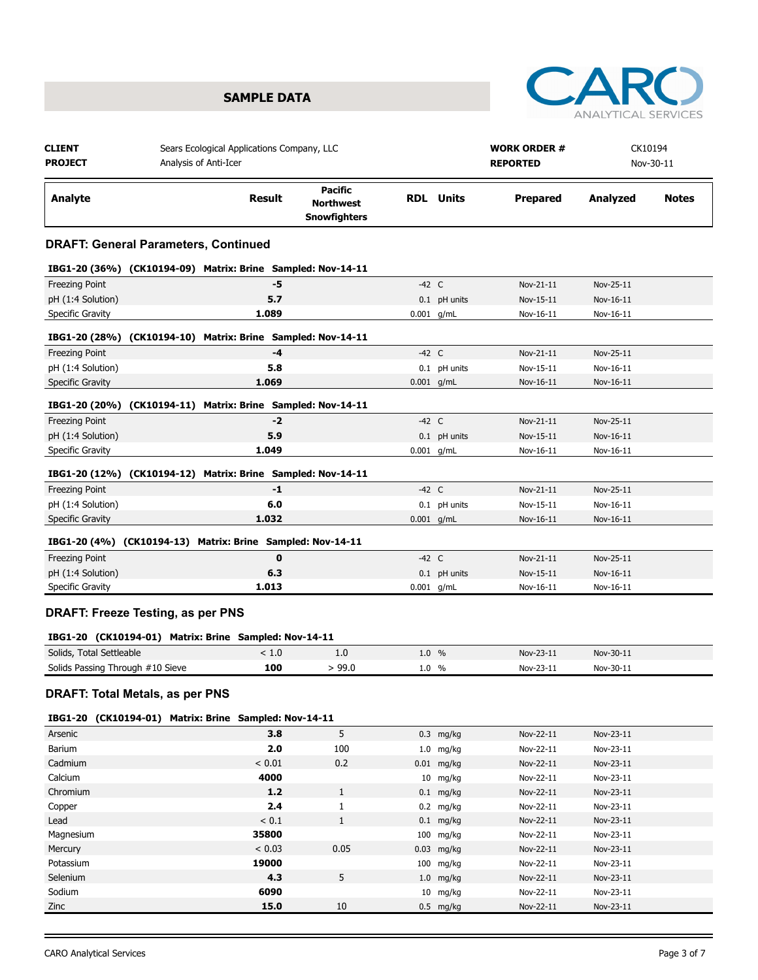



| <b>CLIENT</b><br><b>PROJECT</b>             | Sears Ecological Applications Company, LLC<br>Analysis of Anti-Icer |                                                           |              |                  | <b>WORK ORDER #</b><br><b>REPORTED</b> | CK10194<br>Nov-30-11 |              |  |
|---------------------------------------------|---------------------------------------------------------------------|-----------------------------------------------------------|--------------|------------------|----------------------------------------|----------------------|--------------|--|
| <b>Analyte</b>                              | <b>Result</b>                                                       | <b>Pacific</b><br><b>Northwest</b><br><b>Snowfighters</b> |              | <b>RDL</b> Units | <b>Prepared</b>                        | Analyzed             | <b>Notes</b> |  |
| <b>DRAFT: General Parameters, Continued</b> |                                                                     |                                                           |              |                  |                                        |                      |              |  |
|                                             | IBG1-20 (36%) (CK10194-09) Matrix: Brine Sampled: Nov-14-11         |                                                           |              |                  |                                        |                      |              |  |
| <b>Freezing Point</b>                       | -5                                                                  |                                                           | $-42$ C      |                  | Nov-21-11                              | Nov-25-11            |              |  |
| pH (1:4 Solution)                           | 5.7                                                                 |                                                           |              | 0.1 pH units     | Nov-15-11                              | Nov-16-11            |              |  |
| <b>Specific Gravity</b>                     | 1.089                                                               |                                                           |              | $0.001$ g/mL     | Nov-16-11                              | Nov-16-11            |              |  |
|                                             | IBG1-20 (28%) (CK10194-10) Matrix: Brine Sampled: Nov-14-11         |                                                           |              |                  |                                        |                      |              |  |
| Freezing Point                              | $-4$                                                                |                                                           | $-42$ C      |                  | Nov-21-11                              | Nov-25-11            |              |  |
| pH (1:4 Solution)                           | 5.8                                                                 |                                                           |              | 0.1 pH units     | Nov-15-11                              | Nov-16-11            |              |  |
| <b>Specific Gravity</b>                     | 1.069                                                               |                                                           |              | $0.001$ g/mL     | Nov-16-11                              | Nov-16-11            |              |  |
|                                             | IBG1-20 (20%) (CK10194-11) Matrix: Brine Sampled: Nov-14-11         |                                                           |              |                  |                                        |                      |              |  |
| <b>Freezing Point</b>                       | $-2$                                                                |                                                           | $-42$ C      |                  | Nov-21-11                              | Nov-25-11            |              |  |
| pH (1:4 Solution)                           | 5.9                                                                 |                                                           |              | 0.1 pH units     | Nov-15-11                              | Nov-16-11            |              |  |
| <b>Specific Gravity</b>                     | 1.049                                                               |                                                           |              | $0.001$ g/mL     | Nov-16-11                              | Nov-16-11            |              |  |
|                                             | IBG1-20 (12%) (CK10194-12) Matrix: Brine Sampled: Nov-14-11         |                                                           |              |                  |                                        |                      |              |  |
| <b>Freezing Point</b>                       | $-1$                                                                |                                                           | $-42$ C      |                  | Nov-21-11                              | Nov-25-11            |              |  |
| pH (1:4 Solution)                           | 6.0                                                                 |                                                           |              | 0.1 pH units     | Nov-15-11                              | Nov-16-11            |              |  |
| <b>Specific Gravity</b>                     | 1.032                                                               |                                                           | $0.001$ g/mL |                  | Nov-16-11                              | Nov-16-11            |              |  |
|                                             | IBG1-20 (4%) (CK10194-13) Matrix: Brine Sampled: Nov-14-11          |                                                           |              |                  |                                        |                      |              |  |
| <b>Freezing Point</b>                       | $\bf{0}$                                                            |                                                           | $-42$ C      |                  | Nov-21-11                              | Nov-25-11            |              |  |
| pH (1:4 Solution)                           | 6.3                                                                 |                                                           |              | 0.1 pH units     | Nov-15-11                              | Nov-16-11            |              |  |
| <b>Specific Gravity</b>                     | 1.013                                                               |                                                           |              | 0.001 g/mL       | Nov-16-11                              | Nov-16-11            |              |  |
| <b>DRAFT: Freeze Testing, as per PNS</b>    | IBG1-20 (CK10194-01) Matrix: Brine Sampled: Nov-14-11               |                                                           |              |                  |                                        |                      |              |  |
| Solids, Total Settleable                    | < 1.0                                                               | 1.0                                                       | 1.0 %        |                  | Nov-23-11                              | Nov-30-11            |              |  |
| Solids Passing Through #10 Sieve            | 100                                                                 | > 99.0                                                    | 1.0 %        |                  | Nov-23-11                              | Nov-30-11            |              |  |
| <b>DRAFT: Total Metals, as per PNS</b>      |                                                                     |                                                           |              |                  |                                        |                      |              |  |
|                                             | IBG1-20 (CK10194-01) Matrix: Brine Sampled: Nov-14-11               |                                                           |              |                  |                                        |                      |              |  |
| Arsenic                                     | 3.8                                                                 | 5                                                         |              | $0.3$ mg/kg      | Nov-22-11                              | Nov-23-11            |              |  |
| Barium                                      | 2.0                                                                 | 100                                                       |              | $1.0$ mg/kg      | Nov-22-11                              | Nov-23-11            |              |  |
| C <sub>2</sub> dmium                        | $\geq 0.01$                                                         | n <sub>2</sub>                                            |              | $0.01$ malka     | $Nov-22-11$                            | $Nov-22-11$          |              |  |

| Cadmium   | < 0.01 | 0.2  | $0.01$ mg/kg | Nov-22-11 | Nov-23-11 |  |
|-----------|--------|------|--------------|-----------|-----------|--|
| Calcium   | 4000   |      | 10 mg/kg     | Nov-22-11 | Nov-23-11 |  |
| Chromium  | 1.2    |      | $0.1$ mg/kg  | Nov-22-11 | Nov-23-11 |  |
| Copper    | 2.4    |      | $0.2$ mg/kg  | Nov-22-11 | Nov-23-11 |  |
| Lead      | < 0.1  |      | $0.1$ mg/kg  | Nov-22-11 | Nov-23-11 |  |
| Magnesium | 35800  |      | $100$ mg/kg  | Nov-22-11 | Nov-23-11 |  |
| Mercury   | < 0.03 | 0.05 | $0.03$ mg/kg | Nov-22-11 | Nov-23-11 |  |
| Potassium | 19000  |      | $100$ mg/kg  | Nov-22-11 | Nov-23-11 |  |
| Selenium  | 4.3    | 5    | $1.0$ mg/kg  | Nov-22-11 | Nov-23-11 |  |
| Sodium    | 6090   |      | $10$ mg/kg   | Nov-22-11 | Nov-23-11 |  |
| Zinc      | 15.0   | 10   | $0.5$ mg/kg  | Nov-22-11 | Nov-23-11 |  |
|           |        |      |              |           |           |  |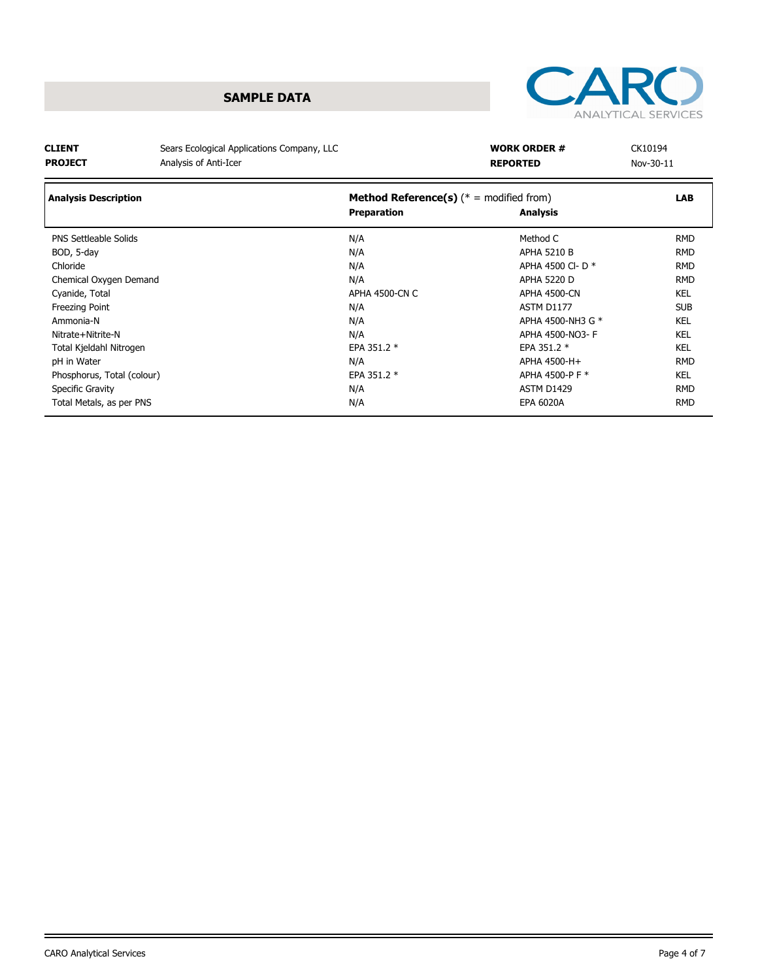

Ξ

### **CLIENT PROJECT**

 $\bar{r}$ 

Sears Ecological Applications Company, LLC Analysis of Anti-Icer

| <b>WORK ORDER #</b> | CK10194   |
|---------------------|-----------|
| <b>REPORTED</b>     | Nov-30-11 |
|                     |           |

| <b>Analysis Description</b>  | <b>Method Reference(s)</b> ( $* =$ modified from) |                     |            |  |
|------------------------------|---------------------------------------------------|---------------------|------------|--|
|                              | <b>Preparation</b>                                | <b>Analysis</b>     |            |  |
| <b>PNS Settleable Solids</b> | N/A                                               | Method C            | <b>RMD</b> |  |
| BOD, 5-day                   | N/A                                               | <b>APHA 5210 B</b>  | <b>RMD</b> |  |
| Chloride                     | N/A                                               | APHA 4500 CI- D *   | <b>RMD</b> |  |
| Chemical Oxygen Demand       | N/A                                               | APHA 5220 D         | <b>RMD</b> |  |
| Cyanide, Total               | <b>APHA 4500-CN C</b>                             | <b>APHA 4500-CN</b> | <b>KEL</b> |  |
| <b>Freezing Point</b>        | N/A                                               | ASTM D1177          | <b>SUB</b> |  |
| Ammonia-N                    | N/A                                               | APHA 4500-NH3 G *   | <b>KEL</b> |  |
| Nitrate+Nitrite-N            | N/A                                               | APHA 4500-NO3- F    | <b>KEL</b> |  |
| Total Kjeldahl Nitrogen      | EPA 351.2 *                                       | EPA 351.2 *         | <b>KEL</b> |  |
| pH in Water                  | N/A                                               | APHA 4500-H+        | <b>RMD</b> |  |
| Phosphorus, Total (colour)   | EPA 351.2 *                                       | APHA 4500-P F *     | <b>KEL</b> |  |
| Specific Gravity             | N/A                                               | ASTM D1429          | <b>RMD</b> |  |
| Total Metals, as per PNS     | N/A                                               | <b>EPA 6020A</b>    | <b>RMD</b> |  |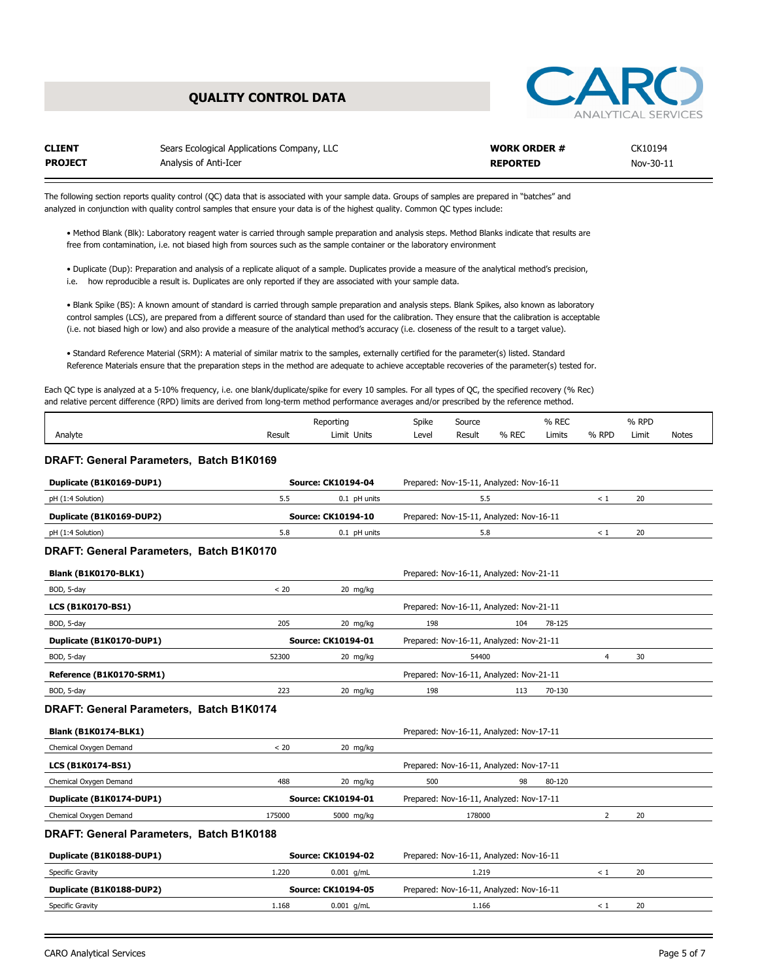## **QUALITY CONTROL DATA**



| <b>CLIENT</b>  | Sears Ecological Applications Company, LLC | <b>WORK ORDER #</b> | CK10194   |
|----------------|--------------------------------------------|---------------------|-----------|
| <b>PROJECT</b> | Analysis of Anti-Icer                      | <b>REPORTED</b>     | Nov-30-11 |

The following section reports quality control (QC) data that is associated with your sample data. Groups of samples are prepared in "batches" and analyzed in conjunction with quality control samples that ensure your data is of the highest quality. Common QC types include:

• Method Blank (Blk): Laboratory reagent water is carried through sample preparation and analysis steps. Method Blanks indicate that results are free from contamination, i.e. not biased high from sources such as the sample container or the laboratory environment

• Duplicate (Dup): Preparation and analysis of a replicate aliquot of a sample. Duplicates provide a measure of the analytical method's precision, i.e. how reproducible a result is. Duplicates are only reported if they are associated with your sample data.

• Blank Spike (BS): A known amount of standard is carried through sample preparation and analysis steps. Blank Spikes, also known as laboratory control samples (LCS), are prepared from a different source of standard than used for the calibration. They ensure that the calibration is acceptable (i.e. not biased high or low) and also provide a measure of the analytical method's accuracy (i.e. closeness of the result to a target value).

• Standard Reference Material (SRM): A material of similar matrix to the samples, externally certified for the parameter(s) listed. Standard Reference Materials ensure that the preparation steps in the method are adequate to achieve acceptable recoveries of the parameter(s) tested for.

Each QC type is analyzed at a 5-10% frequency, i.e. one blank/duplicate/spike for every 10 samples. For all types of QC, the specified recovery (% Rec) and relative percent difference (RPD) limits are derived from long-term method performance averages and/or prescribed by the reference method.

|         |             | Reportina      | Spike<br>$\sim$        | Source<br>. |       | % REC                   |       | % RPD |                   |
|---------|-------------|----------------|------------------------|-------------|-------|-------------------------|-------|-------|-------------------|
| Analyte | Result<br>. | Units<br>Limit | Level<br>$\sim$ $\sim$ | Result<br>. | % REC | Limits<br>$\sim$ $\sim$ | o RPD | Limit | <b>Notes</b><br>. |

### **DRAFT: General Parameters, Batch B1K0169**

| Duplicate (B1K0169-DUP1)                 |                           | <b>Source: CK10194-04</b> | Prepared: Nov-15-11, Analyzed: Nov-16-11 |                                          |        |                |    |
|------------------------------------------|---------------------------|---------------------------|------------------------------------------|------------------------------------------|--------|----------------|----|
| pH (1:4 Solution)                        | 5.5                       | 0.1 pH units              |                                          | 5.5                                      |        | < 1            | 20 |
| Duplicate (B1K0169-DUP2)                 |                           | <b>Source: CK10194-10</b> |                                          | Prepared: Nov-15-11, Analyzed: Nov-16-11 |        |                |    |
| pH (1:4 Solution)                        | 5.8                       | 0.1 pH units              |                                          | 5.8                                      |        | $\leq 1$       | 20 |
| DRAFT: General Parameters, Batch B1K0170 |                           |                           |                                          |                                          |        |                |    |
| <b>Blank (B1K0170-BLK1)</b>              |                           |                           |                                          | Prepared: Nov-16-11, Analyzed: Nov-21-11 |        |                |    |
| BOD, 5-day                               | < 20                      | 20 mg/kg                  |                                          |                                          |        |                |    |
| LCS (B1K0170-BS1)                        |                           |                           |                                          | Prepared: Nov-16-11, Analyzed: Nov-21-11 |        |                |    |
| BOD, 5-day                               | 205                       | 20 mg/kg                  | 198                                      | 104                                      | 78-125 |                |    |
| Duplicate (B1K0170-DUP1)                 |                           | <b>Source: CK10194-01</b> |                                          | Prepared: Nov-16-11, Analyzed: Nov-21-11 |        |                |    |
| BOD, 5-day                               | 52300                     | 20 mg/kg                  | 54400                                    |                                          |        | $\overline{4}$ | 30 |
| Reference (B1K0170-SRM1)                 |                           |                           | Prepared: Nov-16-11, Analyzed: Nov-21-11 |                                          |        |                |    |
| BOD, 5-day                               | 223                       | 20 mg/kg                  | 198                                      | 113                                      | 70-130 |                |    |
| DRAFT: General Parameters, Batch B1K0174 |                           |                           |                                          |                                          |        |                |    |
| <b>Blank (B1K0174-BLK1)</b>              |                           |                           |                                          | Prepared: Nov-16-11, Analyzed: Nov-17-11 |        |                |    |
| Chemical Oxygen Demand                   | < 20                      | 20 mg/kg                  |                                          |                                          |        |                |    |
| <b>LCS (B1K0174-BS1)</b>                 |                           |                           |                                          | Prepared: Nov-16-11, Analyzed: Nov-17-11 |        |                |    |
| Chemical Oxygen Demand                   | 488                       | 20 mg/kg                  | 500                                      | 98                                       | 80-120 |                |    |
| Duplicate (B1K0174-DUP1)                 |                           | <b>Source: CK10194-01</b> |                                          | Prepared: Nov-16-11, Analyzed: Nov-17-11 |        |                |    |
| Chemical Oxygen Demand                   | 175000                    | 5000 mg/kg                |                                          | 178000                                   |        | $\overline{2}$ | 20 |
| DRAFT: General Parameters, Batch B1K0188 |                           |                           |                                          |                                          |        |                |    |
| Duplicate (B1K0188-DUP1)                 | <b>Source: CK10194-02</b> |                           |                                          | Prepared: Nov-16-11, Analyzed: Nov-16-11 |        |                |    |
| Specific Gravity                         | 1.220                     | $0.001$ g/mL              |                                          | 1.219                                    |        | $\leq 1$       | 20 |
| Duplicate (B1K0188-DUP2)                 |                           | <b>Source: CK10194-05</b> |                                          | Prepared: Nov-16-11, Analyzed: Nov-16-11 |        |                |    |
| Specific Gravity                         | 1.168                     | $0.001$ g/mL              |                                          | 1.166                                    |        | < 1            | 20 |
|                                          |                           |                           |                                          |                                          |        |                |    |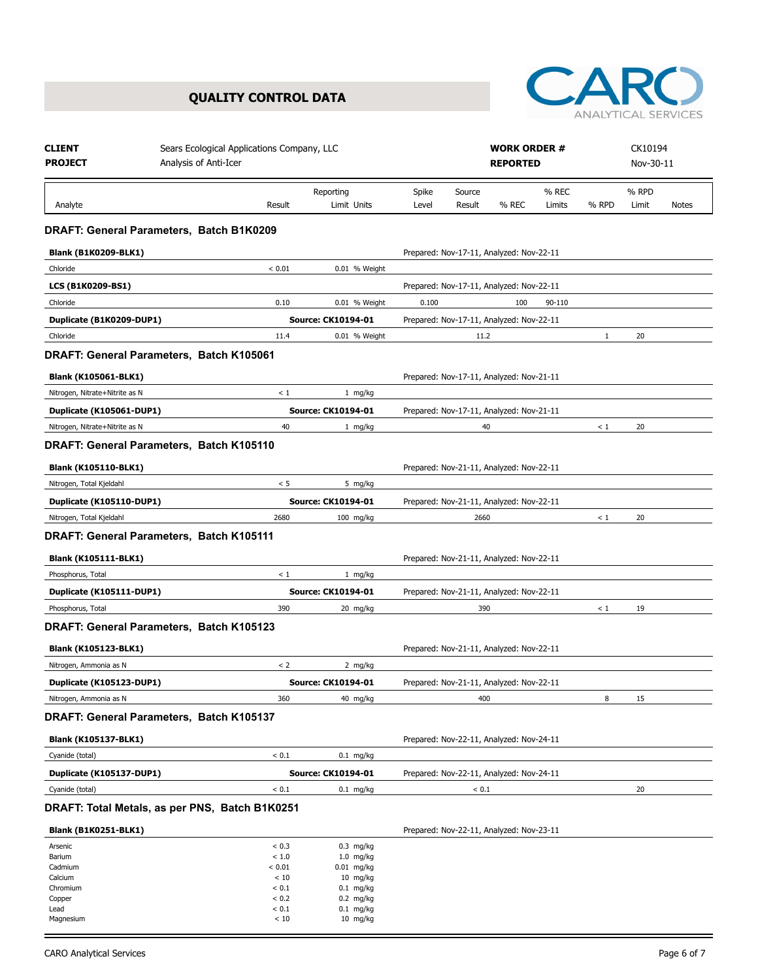# **QUALITY CONTROL DATA**



| <b>CLIENT</b><br><b>PROJECT</b> | Sears Ecological Applications Company, LLC<br>Analysis of Anti-Icer |                       |                             |                | <b>WORK ORDER #</b><br><b>REPORTED</b> | CK10194<br>Nov-30-11                     |                 |              |                |              |
|---------------------------------|---------------------------------------------------------------------|-----------------------|-----------------------------|----------------|----------------------------------------|------------------------------------------|-----------------|--------------|----------------|--------------|
| Analyte                         |                                                                     | Result                | Reporting<br>Limit Units    | Spike<br>Level | Source<br>Result                       | % REC                                    | % REC<br>Limits | % RPD        | % RPD<br>Limit | <b>Notes</b> |
|                                 | DRAFT: General Parameters, Batch B1K0209                            |                       |                             |                |                                        |                                          |                 |              |                |              |
| <b>Blank (B1K0209-BLK1)</b>     |                                                                     |                       |                             |                |                                        | Prepared: Nov-17-11, Analyzed: Nov-22-11 |                 |              |                |              |
| Chloride                        |                                                                     | ${}< 0.01$            | 0.01 % Weight               |                |                                        |                                          |                 |              |                |              |
| LCS (B1K0209-BS1)               |                                                                     |                       |                             |                |                                        | Prepared: Nov-17-11, Analyzed: Nov-22-11 |                 |              |                |              |
| Chloride                        |                                                                     | 0.10                  | 0.01 % Weight               | 0.100          |                                        | 100                                      | 90-110          |              |                |              |
| Duplicate (B1K0209-DUP1)        |                                                                     |                       | Source: CK10194-01          |                |                                        | Prepared: Nov-17-11, Analyzed: Nov-22-11 |                 |              |                |              |
| Chloride                        |                                                                     | 11.4                  | 0.01 % Weight               |                | 11.2                                   |                                          |                 | $\mathbf{1}$ | 20             |              |
|                                 | DRAFT: General Parameters, Batch K105061                            |                       |                             |                |                                        |                                          |                 |              |                |              |
| <b>Blank (K105061-BLK1)</b>     |                                                                     |                       |                             |                |                                        | Prepared: Nov-17-11, Analyzed: Nov-21-11 |                 |              |                |              |
| Nitrogen, Nitrate+Nitrite as N  |                                                                     | $\leq 1$              | 1 mg/kg                     |                |                                        |                                          |                 |              |                |              |
| Duplicate (K105061-DUP1)        |                                                                     |                       | Source: CK10194-01          |                |                                        | Prepared: Nov-17-11, Analyzed: Nov-21-11 |                 |              |                |              |
| Nitrogen, Nitrate+Nitrite as N  |                                                                     | 40                    | 1 mg/kg                     |                | 40                                     |                                          |                 | $\leq 1$     | 20             |              |
|                                 | DRAFT: General Parameters, Batch K105110                            |                       |                             |                |                                        |                                          |                 |              |                |              |
| <b>Blank (K105110-BLK1)</b>     |                                                                     |                       |                             |                |                                        | Prepared: Nov-21-11, Analyzed: Nov-22-11 |                 |              |                |              |
| Nitrogen, Total Kjeldahl        |                                                                     | < 5                   | 5 mg/kg                     |                |                                        |                                          |                 |              |                |              |
| Duplicate (K105110-DUP1)        |                                                                     |                       | <b>Source: CK10194-01</b>   |                |                                        | Prepared: Nov-21-11, Analyzed: Nov-22-11 |                 |              |                |              |
| Nitrogen, Total Kjeldahl        |                                                                     | 2680                  | 100 mg/kg                   |                | 2660                                   |                                          |                 | $\leq 1$     | 20             |              |
|                                 | DRAFT: General Parameters, Batch K105111                            |                       |                             |                |                                        |                                          |                 |              |                |              |
| <b>Blank (K105111-BLK1)</b>     |                                                                     |                       |                             |                |                                        | Prepared: Nov-21-11, Analyzed: Nov-22-11 |                 |              |                |              |
| Phosphorus, Total               |                                                                     | $\leq 1$              | 1 mg/kg                     |                |                                        |                                          |                 |              |                |              |
| Duplicate (K105111-DUP1)        |                                                                     |                       | <b>Source: CK10194-01</b>   |                |                                        | Prepared: Nov-21-11, Analyzed: Nov-22-11 |                 |              |                |              |
| Phosphorus, Total               |                                                                     | 390                   | 20 mg/kg                    |                | 390                                    |                                          |                 | $\leq 1$     | 19             |              |
|                                 | DRAFT: General Parameters, Batch K105123                            |                       |                             |                |                                        |                                          |                 |              |                |              |
| <b>Blank (K105123-BLK1)</b>     |                                                                     |                       |                             |                |                                        | Prepared: Nov-21-11, Analyzed: Nov-22-11 |                 |              |                |              |
| Nitrogen, Ammonia as N          |                                                                     | < 2                   | 2 mg/kg                     |                |                                        |                                          |                 |              |                |              |
| Duplicate (K105123-DUP1)        |                                                                     |                       | <b>Source: CK10194-01</b>   |                |                                        | Prepared: Nov-21-11, Analyzed: Nov-22-11 |                 |              |                |              |
| Nitrogen, Ammonia as N          |                                                                     | 360                   | 40 mg/kg                    |                | 400                                    |                                          |                 | 8            | 15             |              |
|                                 | DRAFT: General Parameters, Batch K105137                            |                       |                             |                |                                        |                                          |                 |              |                |              |
| <b>Blank (K105137-BLK1)</b>     |                                                                     |                       |                             |                |                                        | Prepared: Nov-22-11, Analyzed: Nov-24-11 |                 |              |                |              |
| Cyanide (total)                 |                                                                     | ${}_{< 0.1}$          | $0.1$ mg/kg                 |                |                                        |                                          |                 |              |                |              |
| Duplicate (K105137-DUP1)        |                                                                     |                       | Source: CK10194-01          |                |                                        | Prepared: Nov-22-11, Analyzed: Nov-24-11 |                 |              |                |              |
| Cyanide (total)                 |                                                                     | ${}_{< 0.1}$          | $0.1$ mg/kg                 |                | ${}_{< 0.1}$                           |                                          |                 |              | 20             |              |
|                                 | DRAFT: Total Metals, as per PNS, Batch B1K0251                      |                       |                             |                |                                        |                                          |                 |              |                |              |
| <b>Blank (B1K0251-BLK1)</b>     |                                                                     |                       |                             |                |                                        | Prepared: Nov-22-11, Analyzed: Nov-23-11 |                 |              |                |              |
| Arsenic                         |                                                                     | < 0.3                 | $0.3$ mg/kg                 |                |                                        |                                          |                 |              |                |              |
| Barium<br>Cadmium               |                                                                     | < 1.0<br>< 0.01       | $1.0$ mg/kg<br>$0.01$ mg/kg |                |                                        |                                          |                 |              |                |              |
| Calcium                         |                                                                     | < 10                  | 10 mg/kg                    |                |                                        |                                          |                 |              |                |              |
| Chromium                        |                                                                     | ${}_{< 0.1}$          | $0.1$ mg/kg                 |                |                                        |                                          |                 |              |                |              |
| Copper<br>Lead                  |                                                                     | < 0.2<br>${}_{< 0.1}$ | $0.2$ mg/kg<br>$0.1$ mg/kg  |                |                                        |                                          |                 |              |                |              |
| Magnesium                       |                                                                     | < 10                  | 10 mg/kg                    |                |                                        |                                          |                 |              |                |              |